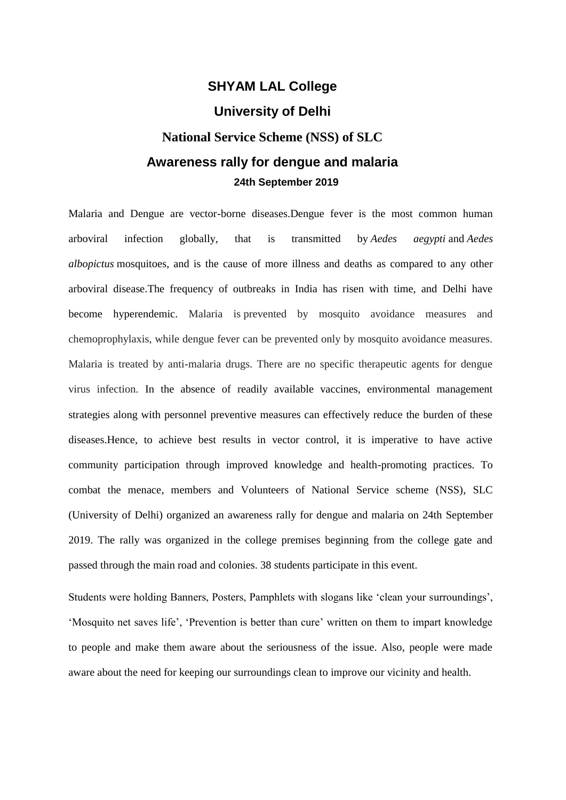## **SHYAM LAL College University of Delhi National Service Scheme (NSS) of SLC Awareness rally for dengue and malaria 24th September 2019**

Malaria and Dengue are vector-borne diseases.Dengue fever is the most common human arboviral infection globally, that is transmitted by *Aedes aegypti* and *Aedes albopictus* mosquitoes, and is the cause of more illness and deaths as compared to any other arboviral disease.The frequency of outbreaks in India has risen with time, and Delhi have become hyperendemic. Malaria is prevented by mosquito avoidance measures and chemoprophylaxis, while dengue fever can be prevented only by mosquito avoidance measures. Malaria is treated by anti-malaria drugs. There are no specific therapeutic agents for dengue virus infection. In the absence of readily available vaccines, environmental management strategies along with personnel preventive measures can effectively reduce the burden of these diseases.Hence, to achieve best results in vector control, it is imperative to have active community participation through improved knowledge and health-promoting practices. To combat the menace, members and Volunteers of National Service scheme (NSS), SLC (University of Delhi) organized an awareness rally for dengue and malaria on 24th September 2019. The rally was organized in the college premises beginning from the college gate and passed through the main road and colonies. 38 students participate in this event.

Students were holding Banners, Posters, Pamphlets with slogans like 'clean your surroundings', 'Mosquito net saves life', 'Prevention is better than cure' written on them to impart knowledge to people and make them aware about the seriousness of the issue. Also, people were made aware about the need for keeping our surroundings clean to improve our vicinity and health.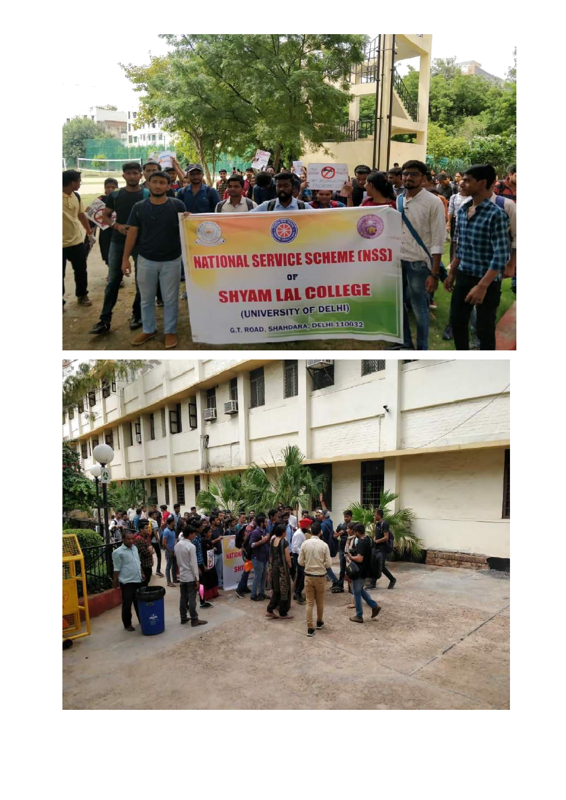